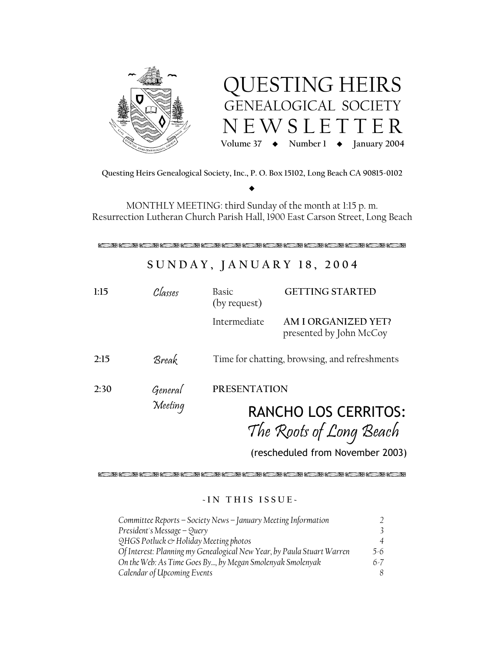



Questing Heirs Genealogical Society, Inc., P. O. Box 15102, Long Beach CA 90815-0102

MONTHLY MEETING: third Sunday of the month at 1:15 p.m. Resurrection Lutheran Church Parish Hall, 1900 East Carson Street, Long Beach

# SUNDAY, JANUARY 18, 2004

| 1:15 | Classes            | Basic<br>(by request)                                                         | <b>GETTING STARTED</b>                                |
|------|--------------------|-------------------------------------------------------------------------------|-------------------------------------------------------|
|      |                    | Intermediate                                                                  | <b>AM I ORGANIZED YET?</b><br>presented by John McCoy |
| 2:15 | Break              | Time for chatting, browsing, and refreshments                                 |                                                       |
| 2:30 | General<br>Meeting | <b>PRESENTATION</b><br><b>RANCHO LOS CERRITOS:</b><br>The Roots of Long Beach |                                                       |
|      |                    |                                                                               | (rescheduled from November 2003)                      |

# -IN THIS ISSUE-

| Committee Reports – Society News – January Meeting Information         |               |  |
|------------------------------------------------------------------------|---------------|--|
| President's Message – Query                                            | $\mathcal{E}$ |  |
| QHGS Potluck & Holiday Meeting photos                                  | 4             |  |
| Of Interest: Planning my Genealogical New Year, by Paula Stuart Warren | $5-6$         |  |
| On the Web: As Time Goes By, by Megan Smolenyak Smolenyak              | $6-7$         |  |
| Calendar of Upcoming Events                                            |               |  |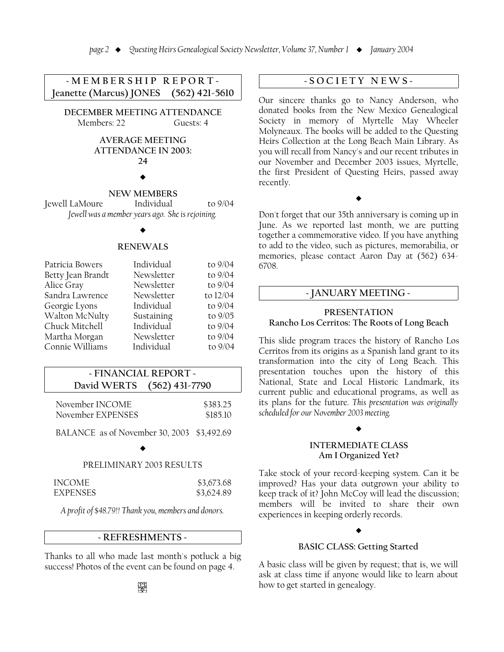$-MEMBERSHIPREPOP$ <sup>\*</sup> **I**eanette (Marcus) **JONES** (562) 421-5610

**DECEMBER MEETING ATTENDANCE** Members: 22 Guests: 4

# **AVERAGE MEETING ATTENDANCE IN 2003: =K**

# $\blacklozenge$

# **NEW MEMBERS**

The Tewell LaMoure Fundividual to 9/04 *<u>Iewell was a member years ago. She is rejoining.</u>* 

#### $\blacklozenge$

#### **RENEWALS**

| Patricia Bowers   | Individual | to 9/04  |
|-------------------|------------|----------|
| Betty Jean Brandt | Newsletter | to 9/04  |
| Alice Gray        | Newsletter | to 9/04  |
| Sandra Lawrence   | Newsletter | to 12/04 |
| Georgie Lyons     | Individual | to 9/04  |
| Walton McNulty    | Sustaining | to 9/05  |
| Chuck Mitchell    | Individual | to 9/04  |
| Martha Morgan     | Newsletter | to 9/04  |
| Connie Williams   | Individual | to 9/04  |

# - FINANCIAL REPORT -**David WERTS** (562) 431-7790

| November INCOME   | \$383.25 |
|-------------------|----------|
| November EXPENSES | \$185.10 |

BALANCE as of November 30, 2003 \$3,492.69

#### $\blacklozenge$

#### PRELIMINARY 2003 RESULTS

| INCOME          | \$3,673.68 |
|-----------------|------------|
| <b>FXPENSES</b> | \$3,624.89 |

*A profit of \$48.79!! Thank you, members and donors.* 

# -REFRESHMENTS -

Thanks to all who made last month's potluck a big success! Photos of the event can be found on page 4.

# $-SOCIETYNEWS-$

Our sincere thanks go to Nancy Anderson, who donated books from the New Mexico Genealogical Society in memory of Myrtelle May Wheeler Molyneaux. The books will be added to the Questing Heirs Collection at the Long Beach Main Library. As you will recall from Nancy's and our recent tributes in our November and December 2003 issues, Myrtelle, the first President of Questing Heirs, passed away recently.

 $\blacklozenge$ 

Don't forget that our 35th anniversary is coming up in June. As we reported last month, we are putting together a commemorative video. If you have anything to add to the video, such as pictures, memorabilia, or memories, please contact Aaron Day at (562) 634-6708.

# - **JANUARY MEETING -**

# **PRESENTATION Rancho Los Cerritos: The Roots of Long Beach**

This slide program traces the history of Rancho Los Cerritos from its origins as a Spanish land grant to its transformation into the city of Long Beach. This presentation touches upon the history of this National, State and Local Historic Landmark, its current public and educational programs, as well as its plans for the future. This presentation was originally  $s$ cheduled for our November 2003 meeting.

# $\blacklozenge$

# **4FOMALLANGING INTERMEDIATE CLASS Am I** Organized Yet?

Take stock of your record-keeping system. Can it be improved? Has your data outgrown your ability to keep track of it? John McCoy will lead the discussion; members will be invited to share their own experiences in keeping orderly records.

# $\blacklozenge$

# **BASIC CLASS: Getting Started**

A basic class will be given by request; that is, we will ask at class time if anyone would like to learn about how to get started in genealogy.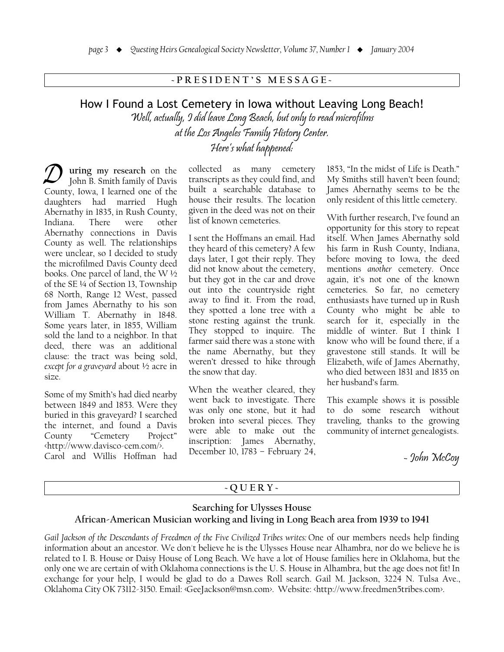# -PRESIDENT'S MESSAGE-

# How I Found a Lost Cemetery in Iowa without Leaving Long Beach! Well, actually, 9 did leave Long Beach, but only to read microfilms at the Los Angeles Family History Center.<br>Here's what happened:

uring my research on the John B. Smith family of Davis County, Iowa, I learned one of the daughters had married Hugh Abernathy in 1835, in Rush County, Indiana. There were other Abernathy connections in Davis County as well. The relationships were unclear, so I decided to study the microfilmed Davis County deed books. One parcel of land, the W $\frac{1}{2}$ of the SE 1/4 of Section 13, Township 68 North, Range 12 West, passed from James Abernathy to his son William T. Abernathy in 1848. Some years later, in 1855, William sold the land to a neighbor. In that deed, there was an additional clause: the tract was being sold, except for a graveyard about 1/2 acre in size.

Some of my Smith's had died nearby between 1849 and 1853. Were they buried in this graveyard? I searched the internet, and found a Davis County "Cemetery Project" http://www.davisco-cem.com/>. Carol and Willis Hoffman had

collected as many cemetery transcripts as they could find, and built a searchable database to house their results. The location given in the deed was not on their list of known cemeteries.

I sent the Hoffmans an email. Had they heard of this cemetery? A few days later, I got their reply. They did not know about the cemetery, but they got in the car and drove out into the countryside right away to find it. From the road, they spotted a lone tree with a stone resting against the trunk. They stopped to inquire. The farmer said there was a stone with the name Abernathy, but they weren't dressed to hike through the snow that day.

When the weather cleared, they went back to investigate. There was only one stone, but it had broken into several pieces. They were able to make out the inscription: James Abernathy, December 10, 1783 - February 24,

1853, "In the midst of Life is Death." My Smiths still haven't been found; James Abernathy seems to be the only resident of this little cemetery.

With further research, I've found an opportunity for this story to repeat itself. When James Abernathy sold his farm in Rush County, Indiana, before moving to Iowa, the deed mentions another cemetery. Once again, it's not one of the known cemeteries. So far, no cemetery enthusiasts have turned up in Rush County who might be able to search for it, especially in the middle of winter. But I think I know who will be found there, if a gravestone still stands. It will be Elizabeth, wife of James Abernathy, who died between 1831 and 1835 on her husband's farm.

This example shows it is possible to do some research without traveling, thanks to the growing community of internet genealogists.

- John McCoy

# $-QUERY-$

# Searching for Ulysses House African-American Musician working and living in Long Beach area from 1939 to 1941

Gail Jackson of the Descendants of Freedmen of the Five Civilized Tribes writes: One of our members needs help finding information about an ancestor. We don't believe he is the Ulysses House near Alhambra, nor do we believe he is related to I. B. House or Daisy House of Long Beach. We have a lot of House families here in Oklahoma, but the only one we are certain of with Oklahoma connections is the U.S. House in Alhambra, but the age does not fit! In exchange for your help, I would be glad to do a Dawes Roll search. Gail M. Jackson, 3224 N. Tulsa Ave., Oklahoma City OK 73112-3150. Email: «GeeJackson@msn.com». Website: <http://www.freedmen5tribes.com>.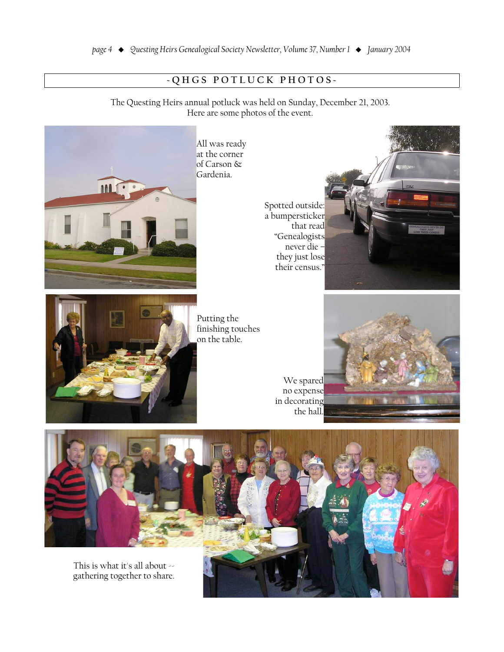# -QHGS POTLUCK PHOTOS-

The Questing Heirs annual potluck was held on Sunday, December 21, 2003. Here are some photos of the event.



Putting the finishing touches on the table.

Spotted outside: a bumpersticker that read "Genealogists never die they just lose their census.'





We spared no expense in decorating



gathering together to share.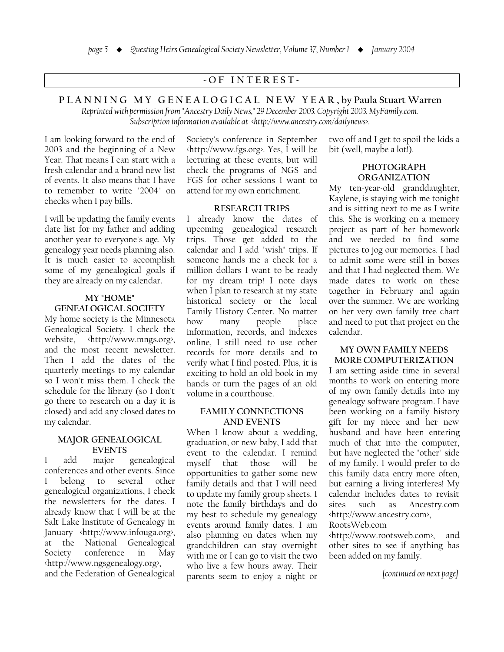# -OF INTEREST-

PLANNING MY GENEALOGICAL NEW YEAR, by Paula Stuart Warren Reprinted with permission from "Ancestry Daily News," 29 December 2003. Copyright 2003, MyFamily.com.

Subscription information available at <http://www.ancestry.com/dailynews>.

I am looking forward to the end of 2003 and the beginning of a New Year. That means I can start with a fresh calendar and a brand new list of events. It also means that I have to remember to write "2004" on checks when I pay bills.

I will be updating the family events date list for my father and adding another year to everyone's age. My genealogy year needs planning also. It is much easier to accomplish some of my genealogical goals if they are already on my calendar.

# MY "HOME"

#### **GENEALOGICAL SOCIETY**

My home society is the Minnesota Genealogical Society. I check the website, <http://www.mngs.org>, and the most recent newsletter. Then I add the dates of the quarterly meetings to my calendar so I won't miss them. I check the schedule for the library (so I don't go there to research on a day it is closed) and add any closed dates to my calendar.

# **MAJOR GENEALOGICAL EVENTS**

 $\mathbf{I}$ add major genealogical conferences and other events. Since belong to several other genealogical organizations, I check the newsletters for the dates. I already know that I will be at the Salt Lake Institute of Genealogy in January <http://www.infouga.org> the National Genealogical at Society conference in May <http://www.ngsgenealogy.org>, and the Federation of Genealogical

Society's conference in September <http://www.fgs.org>. Yes, I will be lecturing at these events, but will check the programs of NGS and FGS for other sessions I want to attend for my own enrichment.

#### **RESEARCH TRIPS**

I already know the dates of upcoming genealogical research trips. Those get added to the calendar and I add "wish" trips. If someone hands me a check for a million dollars I want to be ready for my dream trip! I note days when I plan to research at my state historical society or the local Family History Center. No matter how many people place information, records, and indexes online. I still need to use other records for more details and to verify what I find posted. Plus, it is exciting to hold an old book in my hands or turn the pages of an old volume in a courthouse.

#### **FAMILY CONNECTIONS AND EVENTS**

When I know about a wedding, graduation, or new baby, I add that event to the calendar. I remind myself that those will be opportunities to gather some new family details and that I will need to update my family group sheets. I note the family birthdays and do my best to schedule my genealogy events around family dates. I am also planning on dates when my grandchildren can stay overnight with me or I can go to visit the two who live a few hours away. Their parents seem to enjoy a night or two off and I get to spoil the kids a bit (well, maybe a lot!).

## **PHOTOGRAPH ORGANIZATION**

My ten-year-old granddaughter, Kaylene, is staying with me tonight and is sitting next to me as I write this. She is working on a memory project as part of her homework and we needed to find some pictures to jog our memories. I had to admit some were still in boxes and that I had neglected them. We made dates to work on these together in February and again over the summer. We are working on her very own family tree chart and need to put that project on the calendar.

#### **MY OWN FAMILY NEEDS** MORE COMPUTERIZATION

I am setting aside time in several months to work on entering more of my own family details into my genealogy software program. I have been working on a family history gift for my niece and her new husband and have been entering much of that into the computer, but have neglected the "other" side of my family. I would prefer to do this family data entry more often, but earning a living interferes! My calendar includes dates to revisit such as Ancestry.com sites \http://www.ancestry.com>, RootsWeb.com

http://www.rootsweb.com>, and other sites to see if anything has been added on my family.

[continued on next page]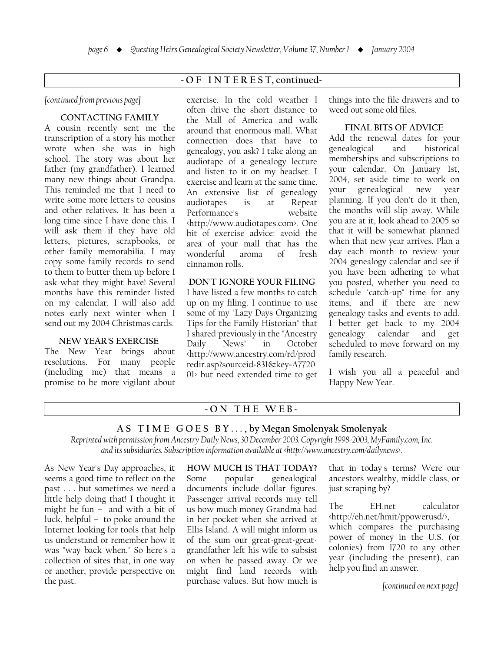# -OF INTEREST, continued-

#### *fcontinued from previous page]*

## **CONTACTING FAMILY**

A cousin recently sent me the transcription of a story his mother wrote when she was in high school. The story was about her father (my grandfather). I learned many new things about Grandpa. This reminded me that I need to write some more letters to cousins and other relatives. It has been a long time since I have done this. I will ask them if they have old letters, pictures, scrapbooks, or other family memorabilia. I may copy some family records to send to them to butter them up before I ask what they might have! Several months have this reminder listed on my calendar. I will also add notes early next winter when I send out my 2004 Christmas cards.

#### **NEW YEAR'S EXERCISE**

The New Year brings about resolutions. For many people  $(including me) that means a$ promise to be more vigilant about exercise. In the cold weather I often drive the short distance to the Mall of America and walk around that enormous mall. What connection does that have to genealogy, you ask? I take along an audiotape of a genealogy lecture and listen to it on my headset. I exercise and learn at the same time. An extensive list of genealogy audiotapes is at Repeat Performance's website \ttp://www.audiotapes.com>. One bit of exercise advice: avoid the area of your mall that has the wonderful aroma of fresh cinnamon rolls.

# **DON'T IGNORE YOUR FILING**

I have listed a few months to catch up on my filing. I continue to use some of my "Lazy Days Organizing Tips for the Family Historian" that I shared previously in the "Ancestry Daily News" in October http://www.ancestry.com/rd/prod redir.asp?sourceid=831&key=A7720  $01$  but need extended time to get things into the file drawers and to weed out some old files.

#### $FINAL$  **BITS OF ADVICE**

Add the renewal dates for your genealogical and historical memberships and subscriptions to your calendar. On January 1st, 2004, set aside time to work on your genealogical new year planning. If you don't do it then, the months will slip away. While you are at it, look ahead to 2005 so that it will be somewhat planned when that new year arrives. Plan a day each month to review your 2004 genealogy calendar and see if you have been adhering to what you posted, whether you need to schedule "catch-up" time for any items, and if there are new genealogy tasks and events to add. I better get back to my 2004 genealogy calendar and get scheduled to move forward on my family research.

I wish you all a peaceful and Happy New Year.

# $-ON$  THE WEB $-$

#### AS TIME GOES BY..., by Megan Smolenyak Smolenyak

*(A) Reprinted with permission from Ancestry Daily News, 30 December 2003. Copyright 1998-2003, MyFamily.com, Inc.* and its subsidiaries. Subscription information available at <http://www.ancestry.com/dailynews>.

As New Year's Day approaches, it seems a good time to reflect on the past . . . but sometimes we need a little help doing that! I thought it might be fun  $-$  and with a bit of  $luck, helpful – to pole around the$ Internet looking for tools that help us understand or remember how it was "way back when." So here's a collection of sites that, in one way or another, provide perspective on the past.

**HOW MUCH IS THAT TODAY?** Some popular genealogical documents include dollar figures. Passenger arrival records may tell us how much money Grandma had in her pocket when she arrived at Ellis Island. A will might inform us of the sum our great-great-greatgrandfather left his wife to subsist on when he passed away. Or we might find land records with purchase values. But how much is that in today's terms? Were our ancestors wealthy, middle class, or just scraping by?

The EH.net calculator \ttp://eh.net/hmit/ppowerusd/>, which compares the purchasing power of money in the U.S. (or colonies) from 1720 to any other year (including the present), can help you find an answer.

*continued on next page*]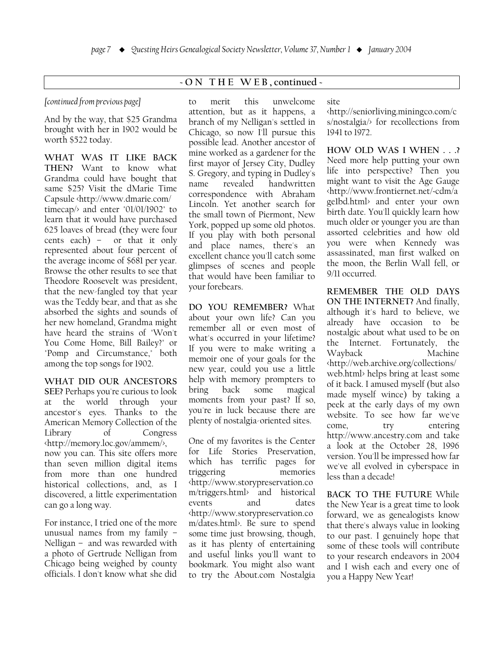# $-ON$  THE WEB, continued -

# [continued from previous page]

And by the way, that \$25 Grandma brought with her in 1902 would be worth \$522 today.

WHAT WAS IT LIKE BACK THEN? Want to know what Grandma could have bought that same \$25? Visit the dMarie Time Capsule <http://www.dmarie.com/ timecap/ $\rightarrow$  and enter "01/01/1902" to learn that it would have purchased 625 loaves of bread (they were four cents each) - or that it only represented about four percent of the average income of \$681 per year. Browse the other results to see that Theodore Roosevelt was president, that the new-fangled toy that year was the Teddy bear, and that as she absorbed the sights and sounds of her new homeland, Grandma might have heard the strains of "Won't You Come Home, Bill Bailey?" or "Pomp and Circumstance," both among the top songs for 1902.

# WHAT DID OUR ANCESTORS

SEE? Perhaps you're curious to look the world through your at ancestor's eyes. Thanks to the American Memory Collection of the Library of Congress <http://memory.loc.gov/ammem/>, now you can. This site offers more than seven million digital items from more than one hundred historical collections, and, as I discovered, a little experimentation can go a long way.

For instance. I tried one of the more unusual names from my family  $-$ Nelligan - and was rewarded with a photo of Gertrude Nelligan from Chicago being weighed by county officials. I don't know what she did

this unwelcome to merit attention, but as it happens, a branch of my Nelligan's settled in Chicago, so now I'll pursue this possible lead. Another ancestor of mine worked as a gardener for the first mayor of Jersey City, Dudley S. Gregory, and typing in Dudley's revealed name handwritten correspondence with Abraham Lincoln. Yet another search for the small town of Piermont. New York, popped up some old photos. If you play with both personal and place names, there's an excellent chance you'll catch some glimpses of scenes and people that would have been familiar to vour forebears.

DO YOU REMEMBER? What about your own life? Can you remember all or even most of what's occurred in your lifetime? If you were to make writing a memoir one of your goals for the new year, could you use a little help with memory prompters to some magical bring back moments from your past? If so, you're in luck because there are plenty of nostalgia-oriented sites.

One of my favorites is the Center for Life Stories Preservation, which has terrific pages for triggering memories <http://www.storypreservation.co m/triggers.html> and historical events and dates <http://www.storypreservation.co m/dates.html>. Be sure to spend some time just browsing, though, as it has plenty of entertaining and useful links you'll want to bookmark. You might also want to try the About.com Nostalgia

# site

http://seniorliving.miningco.com/c s/nostalgia/> for recollections from 1941 to 1972.

HOW OLD WAS I WHEN . . .? Need more help putting your own life into perspective? Then you might want to visit the Age Gauge http://www.frontiernet.net/~cdm/a gelbd.html> and enter your own birth date. You'll quickly learn how much older or younger you are than assorted celebrities and how old you were when Kennedy was assassinated, man first walked on the moon, the Berlin Wall fell, or 9/11 occurred.

REMEMBER THE OLD DAYS ON THE INTERNET? And finally, although it's hard to believe, we already have occasion to be nostalgic about what used to be on the Internet. Fortunately, the Wayback Machine http://web.archive.org/collections/ web.html> helps bring at least some of it back. I amused myself (but also made myself wince) by taking a peek at the early days of my own website. To see how far we've come. try entering http://www.ancestry.com and take a look at the October 28, 1996 version. You'll be impressed how far we've all evolved in cyberspace in less than a decade!

**BACK TO THE FUTURE While** the New Year is a great time to look forward, we as genealogists know that there's always value in looking to our past. I genuinely hope that some of these tools will contribute to your research endeavors in 2004 and I wish each and every one of you a Happy New Year!